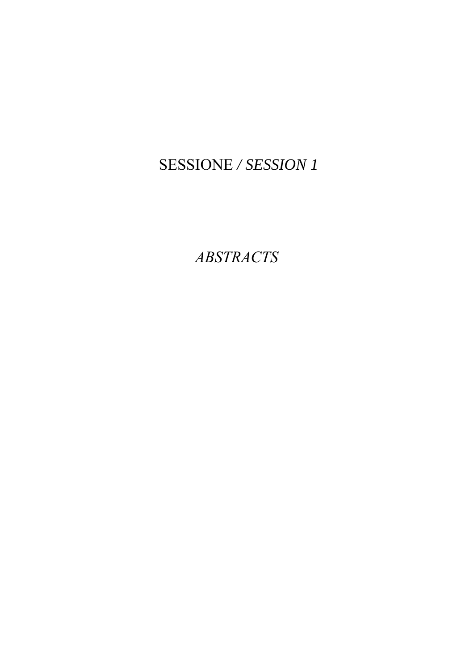# SESSIONE */ SESSION 1*

*ABSTRACTS*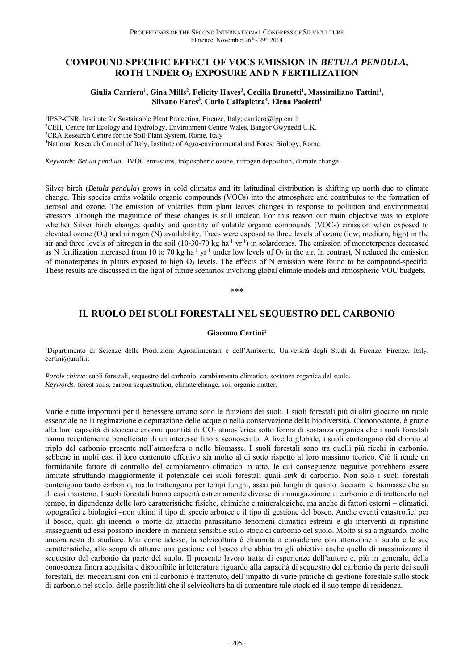### **COMPOUND-SPECIFIC EFFECT OF VOCS EMISSION IN** *BETULA PENDULA***, ROTH UNDER O3 EXPOSURE AND N FERTILIZATION**

### Giulia Carriero<sup>1</sup>, Gina Mills<sup>2</sup>, Felicity Hayes<sup>2</sup>, Cecilia Brunetti<sup>1</sup>, Massimiliano Tattini<sup>1</sup>, Silvano Fares<sup>3</sup>, Carlo Calfapietra<sup>4</sup>, Elena Paoletti<sup>1</sup>

<sup>1</sup>IPSP-CNR, Institute for Sustainable Plant Protection, Firenze, Italy; carriero@ipp.cnr.it <sup>2</sup>CEH, Centre for Ecology and Hydrology, Environment Centre Wales, Bangor Gwynedd U.K.<br><sup>3</sup>CRA Research Centre for the Soil-Plant System, Rome, Italy 4National Research Council of Italy, Institute of Agro-environmental and Forest Biology, Rome

*Keywords*: *Betula pendula*, BVOC emissions, tropospheric ozone, nitrogen deposition, climate change.

Silver birch (*Betula pendula*) grows in cold climates and its latitudinal distribution is shifting up north due to climate change. This species emits volatile organic compounds (VOCs) into the atmosphere and contributes to the formation of aerosol and ozone. The emission of volatiles from plant leaves changes in response to pollution and environmental stressors although the magnitude of these changes is still unclear. For this reason our main objective was to explore whether Silver birch changes quality and quantity of volatile organic compounds (VOCs) emission when exposed to elevated ozone  $(O_3)$  and nitrogen (N) availability. Trees were exposed to three levels of ozone (low, medium, high) in the air and three levels of nitrogen in the soil (10-30-70 kg ha<sup>-1</sup> yr<sup>-1</sup>) in solardomes. The emission of monoterpenes decreased as N fertilization increased from 10 to 70 kg ha<sup>-1</sup> yr<sup>-1</sup> under low levels of  $O_3$  in the air. In contrast, N reduced the emission of monoterpenes in plants exposed to high  $O<sub>3</sub>$  levels. The effects of N emission were found to be compound-specific. These results are discussed in the light of future scenarios involving global climate models and atmospheric VOC budgets.

\*\*\*

### **IL RUOLO DEI SUOLI FORESTALI NEL SEQUESTRO DEL CARBONIO**

#### **Giacomo Certini1**

1Dipartimento di Scienze delle Produzioni Agroalimentari e dell'Ambiente, Università degli Studi di Firenze, Firenze, Italy; certini@unifi.it

*Parole chiave*: suoli forestali, sequestro del carbonio, cambiamento climatico, sostanza organica del suolo. *Keywords*: forest soils, carbon sequestration, climate change, soil organic matter.

Varie e tutte importanti per il benessere umano sono le funzioni dei suoli. I suoli forestali più di altri giocano un ruolo essenziale nella regimazione e depurazione delle acque o nella conservazione della biodiversità. Ciononostante, è grazie alla loro capacità di stoccare enormi quantità di CO2 atmosferica sotto forma di sostanza organica che i suoli forestali hanno recentemente beneficiato di un interesse finora sconosciuto. A livello globale, i suoli contengono dal doppio al triplo del carbonio presente nell'atmosfera o nelle biomasse. I suoli forestali sono tra quelli più ricchi in carbonio, sebbene in molti casi il loro contenuto effettivo sia molto al di sotto rispetto al loro massimo teorico. Ciò li rende un formidabile fattore di controllo del cambiamento climatico in atto, le cui conseguenze negative potrebbero essere limitate sfruttando maggiormente il potenziale dei suoli forestali quali *sink* di carbonio. Non solo i suoli forestali contengono tanto carbonio, ma lo trattengono per tempi lunghi, assai più lunghi di quanto facciano le biomasse che su di essi insistono. I suoli forestali hanno capacità estremamente diverse di immagazzinare il carbonio e di trattenerlo nel tempo, in dipendenza delle loro caratteristiche fisiche, chimiche e mineralogiche, ma anche di fattori esterni – climatici, topografici e biologici –non ultimi il tipo di specie arboree e il tipo di gestione del bosco. Anche eventi catastrofici per il bosco, quali gli incendi o morìe da attacchi parassitario fenomeni climatici estremi e gli interventi di ripristino susseguenti ad essi possono incidere in maniera sensibile sullo stock di carbonio del suolo. Molto si sa a riguardo, molto ancora resta da studiare. Mai come adesso, la selvicoltura è chiamata a considerare con attenzione il suolo e le sue caratteristiche, allo scopo di attuare una gestione del bosco che abbia tra gli obiettivi anche quello di massimizzare il sequestro del carbonio da parte del suolo. Il presente lavoro tratta di esperienze dell'autore e, più in generale, della conoscenza finora acquisita e disponibile in letteratura riguardo alla capacità di sequestro del carbonio da parte dei suoli forestali, dei meccanismi con cui il carbonio è trattenuto, dell'impatto di varie pratiche di gestione forestale sullo stock di carbonio nel suolo, delle possibilità che il selvicoltore ha di aumentare tale stock ed il suo tempo di residenza.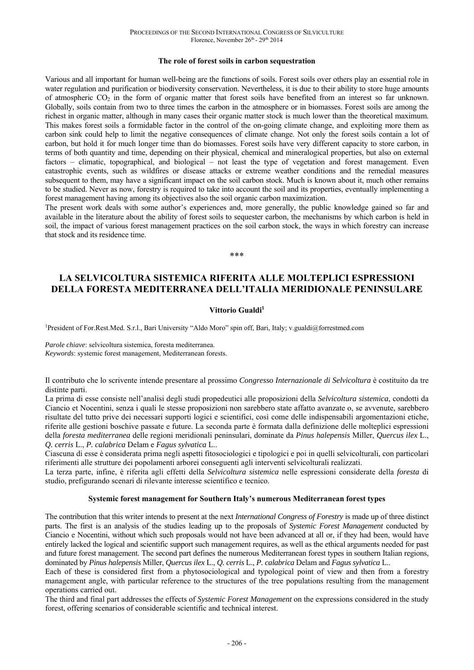#### **The role of forest soils in carbon sequestration**

Various and all important for human well-being are the functions of soils. Forest soils over others play an essential role in water regulation and purification or biodiversity conservation. Nevertheless, it is due to their ability to store huge amounts of atmospheric CO2 in the form of organic matter that forest soils have benefited from an interest so far unknown. Globally, soils contain from two to three times the carbon in the atmosphere or in biomasses. Forest soils are among the richest in organic matter, although in many cases their organic matter stock is much lower than the theoretical maximum. This makes forest soils a formidable factor in the control of the on-going climate change, and exploiting more them as carbon sink could help to limit the negative consequences of climate change. Not only the forest soils contain a lot of carbon, but hold it for much longer time than do biomasses. Forest soils have very different capacity to store carbon, in terms of both quantity and time, depending on their physical, chemical and mineralogical properties, but also on external factors – climatic, topographical, and biological – not least the type of vegetation and forest management. Even catastrophic events, such as wildfires or disease attacks or extreme weather conditions and the remedial measures subsequent to them, may have a significant impact on the soil carbon stock. Much is known about it, much other remains to be studied. Never as now, forestry is required to take into account the soil and its properties, eventually implementing a forest management having among its objectives also the soil organic carbon maximization.

The present work deals with some author's experiences and, more generally, the public knowledge gained so far and available in the literature about the ability of forest soils to sequester carbon, the mechanisms by which carbon is held in soil, the impact of various forest management practices on the soil carbon stock, the ways in which forestry can increase that stock and its residence time.

\*\*\*

### **LA SELVICOLTURA SISTEMICA RIFERITA ALLE MOLTEPLICI ESPRESSIONI DELLA FORESTA MEDITERRANEA DELL'ITALIA MERIDIONALE PENINSULARE**

#### **Vittorio Gualdi1**

1President of For.Rest.Med. S.r.l., Bari University "Aldo Moro" spin off, Bari, Italy; v.gualdi@forrestmed.com

*Parole chiave*: selvicoltura sistemica, foresta mediterranea. *Keywords*: systemic forest management, Mediterranean forests.

Il contributo che lo scrivente intende presentare al prossimo *Congresso Internazionale di Selvicoltura* è costituito da tre distinte parti.

La prima di esse consiste nell'analisi degli studi propedeutici alle proposizioni della *Selvicoltura sistemica*, condotti da Ciancio et Nocentini, senza i quali le stesse proposizioni non sarebbero state affatto avanzate o, se avvenute, sarebbero risultate del tutto prive dei necessari supporti logici e scientifici, così come delle indispensabili argomentazioni etiche, riferite alle gestioni boschive passate e future. La seconda parte è formata dalla definizione delle molteplici espressioni della *foresta mediterranea* delle regioni meridionali peninsulari, dominate da *Pinus halepensis* Miller, *Quercus ilex* L., *Q. cerris* L., *P. calabrica* Delam e *Fagus sylvatica* L..

Ciascuna di esse è considerata prima negli aspetti fitosociologici e tipologici e poi in quelli selvicolturali, con particolari riferimenti alle strutture dei popolamenti arborei conseguenti agli interventi selvicolturali realizzati.

La terza parte, infine, è riferita agli effetti della *Selvicoltura sistemica* nelle espressioni considerate della *foresta* di studio, prefigurando scenari di rilevante interesse scientifico e tecnico.

#### **Systemic forest management for Southern Italy's numerous Mediterranean forest types**

The contribution that this writer intends to present at the next *International Congress of Forestry* is made up of three distinct parts. The first is an analysis of the studies leading up to the proposals of *Systemic Forest Management* conducted by Ciancio e Nocentini, without which such proposals would not have been advanced at all or, if they had been, would have entirely lacked the logical and scientific support such management requires, as well as the ethical arguments needed for past and future forest management. The second part defines the numerous Mediterranean forest types in southern Italian regions, dominated by *Pinus halepensis* Miller, *Quercus ilex* L., *Q. cerris* L., *P. calabrica* Delam and *Fagus sylvatica* L..

Each of these is considered first from a phytosociological and typological point of view and then from a forestry management angle, with particular reference to the structures of the tree populations resulting from the management operations carried out.

The third and final part addresses the effects of *Systemic Forest Management* on the expressions considered in the study forest, offering scenarios of considerable scientific and technical interest.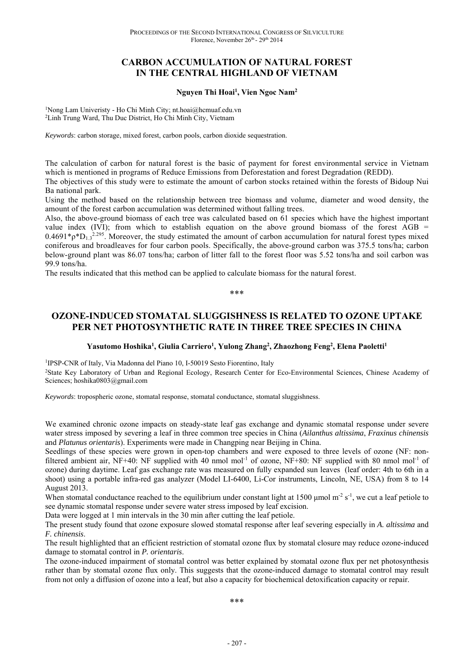# **CARBON ACCUMULATION OF NATURAL FOREST IN THE CENTRAL HIGHLAND OF VIETNAM**

### **Nguyen Thi Hoai1 , Vien Ngoc Nam2**

1Nong Lam Univeristy - Ho Chi Minh City; nt.hoai@hcmuaf.edu.vn 2Linh Trung Ward, Thu Duc District, Ho Chi Minh City, Vietnam

*Keywords*: carbon storage, mixed forest, carbon pools, carbon dioxide sequestration.

The calculation of carbon for natural forest is the basic of payment for forest environmental service in Vietnam which is mentioned in programs of Reduce Emissions from Deforestation and forest Degradation (REDD).

The objectives of this study were to estimate the amount of carbon stocks retained within the forests of Bidoup Nui Ba national park.

Using the method based on the relationship between tree biomass and volume, diameter and wood density, the amount of the forest carbon accumulation was determined without falling trees.

Also, the above-ground biomass of each tree was calculated based on 61 species which have the highest important value index (IVI); from which to establish equation on the above ground biomass of the forest  $\overline{AGB}$  =  $0.4691^*p^*D_{1,3}^{2.295}$ . Moreover, the study estimated the amount of carbon accumulation for natural forest types mixed coniferous and broadleaves for four carbon pools. Specifically, the above-ground carbon was 375.5 tons/ha; carbon below-ground plant was 86.07 tons/ha; carbon of litter fall to the forest floor was 5.52 tons/ha and soil carbon was 99.9 tons/ha.

The results indicated that this method can be applied to calculate biomass for the natural forest.

\*\*\*

# **OZONE-INDUCED STOMATAL SLUGGISHNESS IS RELATED TO OZONE UPTAKE PER NET PHOTOSYNTHETIC RATE IN THREE TREE SPECIES IN CHINA**

### Yasutomo Hoshika<sup>1</sup>, Giulia Carriero<sup>1</sup>, Yulong Zhang<sup>2</sup>, Zhaozhong Feng<sup>2</sup>, Elena Paoletti<sup>1</sup>

<sup>1</sup>IPSP-CNR of Italy, Via Madonna del Piano 10, I-50019 Sesto Fiorentino, Italy <sup>2</sup>State Key Laboratory of Urban and Regional Ecology, Research Center for Eco-Environmental Sciences, Chinese Academy of Sciences; hoshika0803@gmail.com

*Keywords*: tropospheric ozone, stomatal response, stomatal conductance, stomatal sluggishness.

We examined chronic ozone impacts on steady-state leaf gas exchange and dynamic stomatal response under severe water stress imposed by severing a leaf in three common tree species in China (*Ailanthus altissima*, *Fraxinus chinensis* and *Platunus orientaris*). Experiments were made in Changping near Beijing in China.

Seedlings of these species were grown in open-top chambers and were exposed to three levels of ozone (NF: nonfiltered ambient air, NF+40: NF supplied with 40 nmol mol<sup>-1</sup> of ozone, NF+80: NF supplied with 80 nmol mol<sup>-1</sup> of ozone) during daytime. Leaf gas exchange rate was measured on fully expanded sun leaves (leaf order: 4th to 6th in a shoot) using a portable infra-red gas analyzer (Model LI-6400, Li-Cor instruments, Lincoln, NE, USA) from 8 to 14 August 2013.

When stomatal conductance reached to the equilibrium under constant light at 1500 µmol m<sup>-2</sup> s<sup>-1</sup>, we cut a leaf petiole to see dynamic stomatal response under severe water stress imposed by leaf excision.

Data were logged at 1 min intervals in the 30 min after cutting the leaf petiole.

The present study found that ozone exposure slowed stomatal response after leaf severing especially in *A. altissima* and *F. chinensis*.

The result highlighted that an efficient restriction of stomatal ozone flux by stomatal closure may reduce ozone-induced damage to stomatal control in *P. orientaris*.

The ozone-induced impairment of stomatal control was better explained by stomatal ozone flux per net photosynthesis rather than by stomatal ozone flux only. This suggests that the ozone-induced damage to stomatal control may result from not only a diffusion of ozone into a leaf, but also a capacity for biochemical detoxification capacity or repair.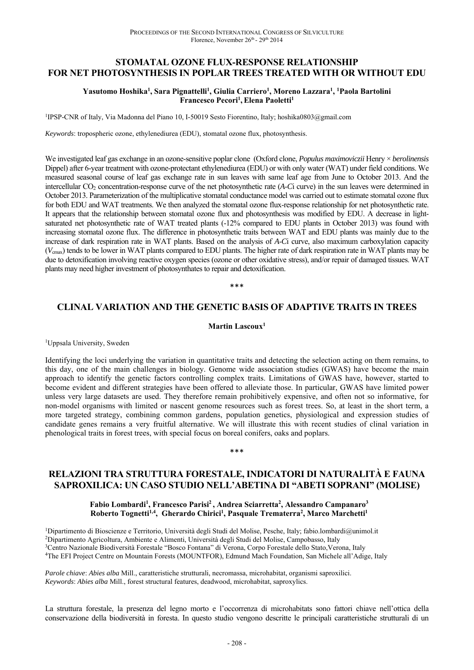# **STOMATAL OZONE FLUX-RESPONSE RELATIONSHIP FOR NET PHOTOSYNTHESIS IN POPLAR TREES TREATED WITH OR WITHOUT EDU**

### **Yasutomo Hoshika1 , Sara Pignattelli1 , Giulia Carriero1 , Moreno Lazzara1 , 1 Paola Bartolini**  Francesco Pecori<sup>1</sup>, Elena Paoletti<sup>1</sup>

1IPSP-CNR of Italy, Via Madonna del Piano 10, I-50019 Sesto Fiorentino, Italy; hoshika0803@gmail.com

*Keywords*: tropospheric ozone, ethylenediurea (EDU), stomatal ozone flux, photosynthesis.

We investigated leaf gas exchange in an ozone-sensitive poplar clone (Oxford clone, *Populus maximoviczii* Henry × *berolinensis* Dippel) after 6-year treatment with ozone-protectant ethylenediurea (EDU) or with only water (WAT) under field conditions. We measured seasonal course of leaf gas exchange rate in sun leaves with same leaf age from June to October 2013. And the intercellular CO2 concentration-response curve of the net photosynthetic rate (*A*-*C*i curve) in the sun leaves were determined in October 2013. Parameterization of the multiplicative stomatal conductance model was carried out to estimate stomatal ozone flux for both EDU and WAT treatments. We then analyzed the stomatal ozone flux-response relationship for net photosynthetic rate. It appears that the relationship between stomatal ozone flux and photosynthesis was modified by EDU. A decrease in lightsaturated net photosynthetic rate of WAT treated plants (-12% compared to EDU plants in October 2013) was found with increasing stomatal ozone flux. The difference in photosynthetic traits between WAT and EDU plants was mainly due to the increase of dark respiration rate in WAT plants. Based on the analysis of *A*-*C*i curve, also maximum carboxylation capacity (*V*cmax) tends to be lower in WAT plants compared to EDU plants. The higher rate of dark respiration rate in WAT plants may be due to detoxification involving reactive oxygen species (ozone or other oxidative stress), and/or repair of damaged tissues. WAT plants may need higher investment of photosynthates to repair and detoxification.

\*\*\*

### **CLINAL VARIATION AND THE GENETIC BASIS OF ADAPTIVE TRAITS IN TREES**

**Martin Lascoux1** 

<sup>1</sup>Uppsala University, Sweden

Identifying the loci underlying the variation in quantitative traits and detecting the selection acting on them remains, to this day, one of the main challenges in biology. Genome wide association studies (GWAS) have become the main approach to identify the genetic factors controlling complex traits. Limitations of GWAS have, however, started to become evident and different strategies have been offered to alleviate those. In particular, GWAS have limited power unless very large datasets are used. They therefore remain prohibitively expensive, and often not so informative, for non-model organisms with limited or nascent genome resources such as forest trees. So, at least in the short term, a more targeted strategy, combining common gardens, population genetics, physiological and expression studies of candidate genes remains a very fruitful alternative. We will illustrate this with recent studies of clinal variation in phenological traits in forest trees, with special focus on boreal conifers, oaks and poplars.

#### \*\*\*

### **RELAZIONI TRA STRUTTURA FORESTALE, INDICATORI DI NATURALITÀ E FAUNA SAPROXILICA: UN CASO STUDIO NELL'ABETINA DI "ABETI SOPRANI" (MOLISE)**

#### **Fabio Lombardi<sup>1</sup> , Francesco Parisi<sup>2</sup>, Andrea Sciarretta<sup>2</sup> , Alessandro Campanaro<sup>3</sup> Roberto Tognetti1,4 , Gherardo Chirici<sup>1</sup> , Pasquale Trematerra<sup>2</sup> , Marco Marchetti<sup>1</sup>**

Dipartimento di Bioscienze e Territorio, Università degli Studi del Molise, Pesche, Italy; fabio.lombardi@unimol.it Dipartimento Agricoltura, Ambiente e Alimenti, Università degli Studi del Molise, Campobasso, Italy Centro Nazionale Biodiversità Forestale "Bosco Fontana" di Verona, Corpo Forestale dello Stato,Verona, Italy The EFI Project Centre on Mountain Forests (MOUNTFOR), Edmund Mach Foundation, San Michele all'Adige, Italy

*Parole chiave*: *Abies alba* Mill., caratteristiche strutturali, necromassa, microhabitat, organismi saproxilici. *Keywords*: *Abies alba* Mill., forest structural features, deadwood, microhabitat, saproxylics.

La struttura forestale, la presenza del legno morto e l'occorrenza di microhabitats sono fattori chiave nell'ottica della conservazione della biodiversità in foresta. In questo studio vengono descritte le principali caratteristiche strutturali di un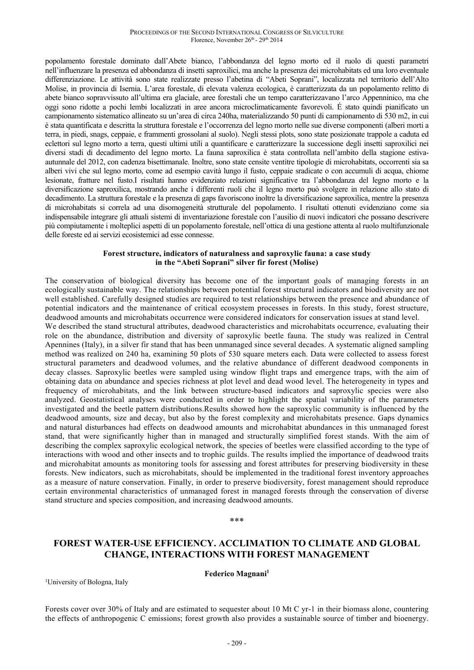popolamento forestale dominato dall'Abete bianco, l'abbondanza del legno morto ed il ruolo di questi parametri nell'influenzare la presenza ed abbondanza di insetti saproxilici, ma anche la presenza dei microhabitats ed una loro eventuale differenziazione. Le attività sono state realizzate presso l'abetina di "Abeti Soprani", localizzata nel territorio dell'Alto Molise, in provincia di Isernia. L'area forestale, di elevata valenza ecologica, è caratterizzata da un popolamento relitto di abete bianco sopravvissuto all'ultima era glaciale, aree forestali che un tempo caratterizzavano l'arco Appenninico, ma che oggi sono ridotte a pochi lembi localizzati in aree ancora microclimaticamente favorevoli. É stato quindi pianificato un campionamento sistematico allineato su un'area di circa 240ha, materializzando 50 punti di campionamento di 530 m2, in cui è stata quantificata e descritta la struttura forestale e l'occorrenza del legno morto nelle sue diverse componenti (alberi morti a terra, in piedi, snags, ceppaie, e frammenti grossolani al suolo). Negli stessi plots, sono state posizionate trappole a caduta ed eclettori sul legno morto a terra, questi ultimi utili a quantificare e caratterizzare la successione degli insetti saproxilici nei diversi stadi di decadimento del legno morto. La fauna saproxilica è stata controllata nell'ambito della stagione estivaautunnale del 2012, con cadenza bisettimanale. Inoltre, sono state censite ventitre tipologie di microhabitats, occorrenti sia sa alberi vivi che sul legno morto, come ad esempio cavità lungo il fusto, ceppaie sradicate o con accumuli di acqua, chiome lesionate, fratture nel fusto.I risultati hanno evidenziato relazioni significative tra l'abbondanza del legno morto e la diversificazione saproxilica, mostrando anche i differenti ruoli che il legno morto può svolgere in relazione allo stato di decadimento. La struttura forestale e la presenza di gaps favoriscono inoltre la diversificazione saproxilica, mentre la presenza di microhabitats si correla ad una disomogeneità strutturale del popolamento. I risultati ottenuti evidenziano come sia indispensabile integrare gli attuali sistemi di inventariazione forestale con l'ausilio di nuovi indicatori che possano descrivere più compiutamente i molteplici aspetti di un popolamento forestale, nell'ottica di una gestione attenta al ruolo multifunzionale delle foreste ed ai servizi ecosistemici ad esse connesse.

### **Forest structure, indicators of naturalness and saproxylic fauna: a case study in the "Abeti Soprani" silver fir forest (Molise)**

The conservation of biological diversity has become one of the important goals of managing forests in an ecologically sustainable way. The relationships between potential forest structural indicators and biodiversity are not well established. Carefully designed studies are required to test relationships between the presence and abundance of potential indicators and the maintenance of critical ecosystem processes in forests. In this study, forest structure, deadwood amounts and microhabitats occurrence were considered indicators for conservation issues at stand level.

We described the stand structural attributes, deadwood characteristics and microhabitats occurrence, evaluating their role on the abundance, distribution and diversity of saproxylic beetle fauna. The study was realized in Central Apennines (Italy), in a silver fir stand that has been unmanaged since several decades. A systematic aligned sampling method was realized on 240 ha, examining 50 plots of 530 square meters each. Data were collected to assess forest structural parameters and deadwood volumes, and the relative abundance of different deadwood components in decay classes. Saproxylic beetles were sampled using window flight traps and emergence traps, with the aim of obtaining data on abundance and species richness at plot level and dead wood level. The heterogeneity in types and frequency of microhabitats, and the link between structure-based indicators and saproxylic species were also analyzed. Geostatistical analyses were conducted in order to highlight the spatial variability of the parameters investigated and the beetle pattern distributions.Results showed how the saproxylic community is influenced by the deadwood amounts, size and decay, but also by the forest complexity and microhabitats presence. Gaps dynamics and natural disturbances had effects on deadwood amounts and microhabitat abundances in this unmanaged forest stand, that were significantly higher than in managed and structurally simplified forest stands. With the aim of describing the complex saproxylic ecological network, the species of beetles were classified according to the type of interactions with wood and other insects and to trophic guilds. The results implied the importance of deadwood traits and microhabitat amounts as monitoring tools for assessing and forest attributes for preserving biodiversity in these forests. New indicators, such as microhabitats, should be implemented in the traditional forest inventory approaches as a measure of nature conservation. Finally, in order to preserve biodiversity, forest management should reproduce certain environmental characteristics of unmanaged forest in managed forests through the conservation of diverse stand structure and species composition, and increasing deadwood amounts.

\*\*\*

# **FOREST WATER-USE EFFICIENCY. ACCLIMATION TO CLIMATE AND GLOBAL CHANGE, INTERACTIONS WITH FOREST MANAGEMENT**

**Federico Magnani1**

<sup>1</sup>University of Bologna, Italy

Forests cover over 30% of Italy and are estimated to sequester about 10 Mt C yr-1 in their biomass alone, countering the effects of anthropogenic C emissions; forest growth also provides a sustainable source of timber and bioenergy.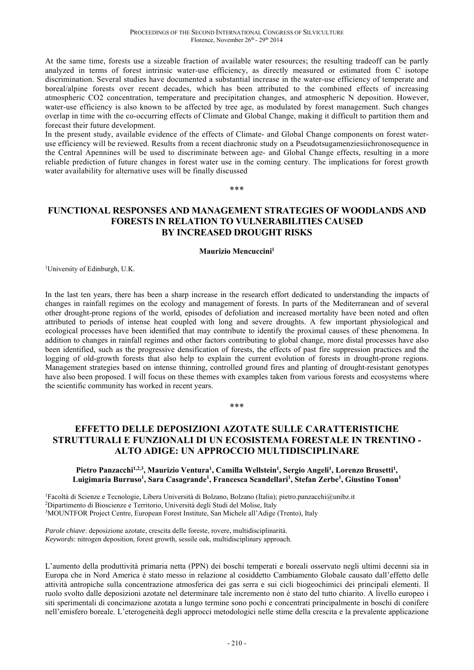At the same time, forests use a sizeable fraction of available water resources; the resulting tradeoff can be partly analyzed in terms of forest intrinsic water-use efficiency, as directly measured or estimated from C isotope discrimination. Several studies have documented a substantial increase in the water-use efficiency of temperate and boreal/alpine forests over recent decades, which has been attributed to the combined effects of increasing atmospheric CO2 concentration, temperature and precipitation changes, and atmospheric N deposition. However, water-use efficiency is also known to be affected by tree age, as modulated by forest management. Such changes overlap in time with the co-occurring effects of Climate and Global Change, making it difficult to partition them and forecast their future development.

In the present study, available evidence of the effects of Climate- and Global Change components on forest wateruse efficiency will be reviewed. Results from a recent diachronic study on a Pseudotsugamenziesiichronosequence in the Central Apennines will be used to discriminate between age- and Global Change effects, resulting in a more reliable prediction of future changes in forest water use in the coming century. The implications for forest growth water availability for alternative uses will be finally discussed

\*\*\*

### **FUNCTIONAL RESPONSES AND MANAGEMENT STRATEGIES OF WOODLANDS AND FORESTS IN RELATION TO VULNERABILITIES CAUSED BY INCREASED DROUGHT RISKS**

#### **Maurizio Mencuccini1**

1University of Edinburgh, U.K.

In the last ten years, there has been a sharp increase in the research effort dedicated to understanding the impacts of changes in rainfall regimes on the ecology and management of forests. In parts of the Mediterranean and of several other drought-prone regions of the world, episodes of defoliation and increased mortality have been noted and often attributed to periods of intense heat coupled with long and severe droughts. A few important physiological and ecological processes have been identified that may contribute to identify the proximal causes of these phenomena. In addition to changes in rainfall regimes and other factors contributing to global change, more distal processes have also been identified, such as the progressive densification of forests, the effects of past fire suppression practices and the logging of old-growth forests that also help to explain the current evolution of forests in drought-prone regions. Management strategies based on intense thinning, controlled ground fires and planting of drought-resistant genotypes have also been proposed. I will focus on these themes with examples taken from various forests and ecosystems where the scientific community has worked in recent years.

\*\*\*

# **EFFETTO DELLE DEPOSIZIONI AZOTATE SULLE CARATTERISTICHE STRUTTURALI E FUNZIONALI DI UN ECOSISTEMA FORESTALE IN TRENTINO - ALTO ADIGE: UN APPROCCIO MULTIDISCIPLINARE**

### Pietro Panzacchi<sup>1,2,3</sup>, Maurizio Ventura<sup>1</sup>, Camilla Wellstein<sup>1</sup>, Sergio Angeli<sup>1</sup>, Lorenzo Brusetti<sup>1</sup>, **Luigimaria Burruso1 , Sara Casagrande1 , Francesca Scandellari1 , Stefan Zerbe1 , Giustino Tonon1**

<sup>1</sup>Facoltà di Scienze e Tecnologie, Libera Università di Bolzano, Bolzano (Italia); pietro.panzacchi@unibz.it <sup>2</sup>Dipartimento di Bioscienze e Territorio, Università degli Studi del Molise, Italy <sup>3</sup>MOUNTFOR Project Centre, European Forest Institute, San Michele all'Adige (Trento), Italy

*Parole chiave*: deposizione azotate, crescita delle foreste, rovere, multidisciplinarità. *Keywords*: nitrogen deposition, forest growth, sessile oak, multidisciplinary approach.

L'aumento della produttività primaria netta (PPN) dei boschi temperati e boreali osservato negli ultimi decenni sia in Europa che in Nord America è stato messo in relazione al cosiddetto Cambiamento Globale causato dall'effetto delle attività antropiche sulla concentrazione atmosferica dei gas serra e sui cicli biogeochimici dei principali elementi. Il ruolo svolto dalle deposizioni azotate nel determinare tale incremento non è stato del tutto chiarito. A livello europeo i siti sperimentali di concimazione azotata a lungo termine sono pochi e concentrati principalmente in boschi di conifere nell'emisfero boreale. L'eterogeneità degli approcci metodologici nelle stime della crescita e la prevalente applicazione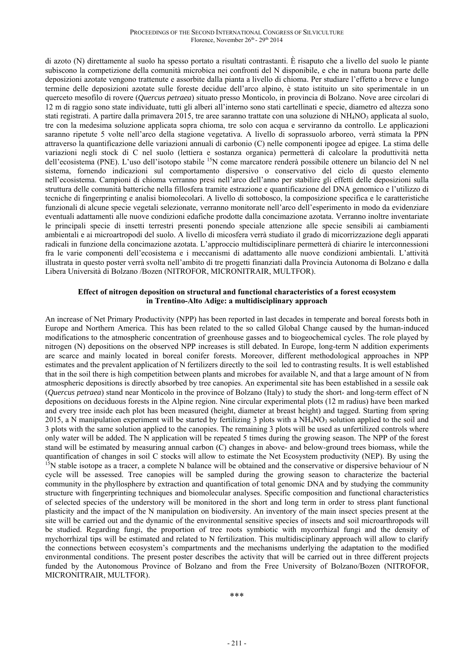di azoto (N) direttamente al suolo ha spesso portato a risultati contrastanti. È risaputo che a livello del suolo le piante subiscono la competizione della comunità microbica nei confronti del N disponibile, e che in natura buona parte delle deposizioni azotate vengono trattenute e assorbite dalla pianta a livello di chioma. Per studiare l'effetto a breve e lungo termine delle deposizioni azotate sulle foreste decidue dell'arco alpino, è stato istituito un sito sperimentale in un querceto mesofilo di rovere (*Quercus petraea*) situato presso Monticolo, in provincia di Bolzano. Nove aree circolari di 12 m di raggio sono state individuate, tutti gli alberi all'interno sono stati cartellinati e specie, diametro ed altezza sono stati registrati. A partire dalla primavera 2015, tre aree saranno trattate con una soluzione di NH<sub>4</sub>NO<sub>3</sub> applicata al suolo, tre con la medesima soluzione applicata sopra chioma, tre solo con acqua e serviranno da controllo. Le applicazioni saranno ripetute 5 volte nell'arco della stagione vegetativa. A livello di soprassuolo arboreo, verrà stimata la PPN attraverso la quantificazione delle variazioni annuali di carbonio (C) nelle componenti ipogee ad epigee. La stima delle variazioni negli stock di C nel suolo (lettiera e sostanza organica) permetterà di calcolare la produttività netta dell'ecosistema (PNE). L'uso dell'isotopo stabile 15N come marcatore renderà possibile ottenere un bilancio del N nel sistema, fornendo indicazioni sul comportamento dispersivo o conservativo del ciclo di questo elemento nell'ecosistema. Campioni di chioma verranno presi nell'arco dell'anno per stabilire gli effetti delle deposizioni sulla struttura delle comunità batteriche nella fillosfera tramite estrazione e quantificazione del DNA genomico e l'utilizzo di tecniche di fingerprinting e analisi biomolecolari. A livello di sottobosco, la composizione specifica e le caratteristiche funzionali di alcune specie vegetali selezionate, verranno monitorate nell'arco dell'esperimento in modo da evidenziare eventuali adattamenti alle nuove condizioni edafiche prodotte dalla concimazione azotata. Verranno inoltre inventariate le principali specie di insetti terrestri presenti ponendo speciale attenzione alle specie sensibili ai cambiamenti ambientali e ai microartropodi del suolo. A livello di micosfera verrà studiato il grado di micorrizzazione degli apparati radicali in funzione della concimazione azotata. L'approccio multidisciplinare permetterà di chiarire le interconnessioni fra le varie componenti dell'ecosistema e i meccanismi di adattamento alle nuove condizioni ambientali. L'attività illustrata in questo poster verrà svolta nell'ambito di tre progetti finanziati dalla Provincia Autonoma di Bolzano e dalla Libera Università di Bolzano /Bozen (NITROFOR, MICRONITRAIR, MULTFOR).

### **Effect of nitrogen deposition on structural and functional characteristics of a forest ecosystem in Trentino-Alto Adige: a multidisciplinary approach**

An increase of Net Primary Productivity (NPP) has been reported in last decades in temperate and boreal forests both in Europe and Northern America. This has been related to the so called Global Change caused by the human-induced modifications to the atmospheric concentration of greenhouse gasses and to biogeochemical cycles. The role played by nitrogen (N) depositions on the observed NPP increases is still debated. In Europe, long-term N addition experiments are scarce and mainly located in boreal conifer forests. Moreover, different methodological approaches in NPP estimates and the prevalent application of N fertilizers directly to the soil led to contrasting results. It is well established that in the soil there is high competition between plants and microbes for available N, and that a large amount of N from atmospheric depositions is directly absorbed by tree canopies. An experimental site has been established in a sessile oak (*Quercus petraea*) stand near Monticolo in the province of Bolzano (Italy) to study the short- and long-term effect of N depositions on deciduous forests in the Alpine region. Nine circular experimental plots (12 m radius) have been marked and every tree inside each plot has been measured (height, diameter at breast height) and tagged. Starting from spring 2015, a N manipulation experiment will be started by fertilizing 3 plots with a  $NH_4NO_3$  solution applied to the soil and 3 plots with the same solution applied to the canopies. The remaining 3 plots will be used as unfertilized controls where only water will be added. The N application will be repeated 5 times during the growing season. The NPP of the forest stand will be estimated by measuring annual carbon (C) changes in above- and below-ground trees biomass, while the quantification of changes in soil C stocks will allow to estimate the Net Ecosystem productivity (NEP). By using the <sup>15</sup>N stable isotope as a tracer, a complete N balance will be obtained and the conservative or dispersive behaviour of N cycle will be assessed. Tree canopies will be sampled during the growing season to characterize the bacterial community in the phyllosphere by extraction and quantification of total genomic DNA and by studying the community structure with fingerprinting techniques and biomolecular analyses. Specific composition and functional characteristics of selected species of the understory will be monitored in the short and long term in order to stress plant functional plasticity and the impact of the N manipulation on biodiversity. An inventory of the main insect species present at the site will be carried out and the dynamic of the environmental sensitive species of insects and soil microarthropods will be studied. Regarding fungi, the proportion of tree roots symbiotic with mycorrhizal fungi and the density of mychorrhizal tips will be estimated and related to N fertilization. This multidisciplinary approach will allow to clarify the connections between ecosystem's compartments and the mechanisms underlying the adaptation to the modified environmental conditions. The present poster describes the activity that will be carried out in three different projects funded by the Autonomous Province of Bolzano and from the Free University of Bolzano/Bozen (NITROFOR, MICRONITRAIR, MULTFOR).

\*\*\*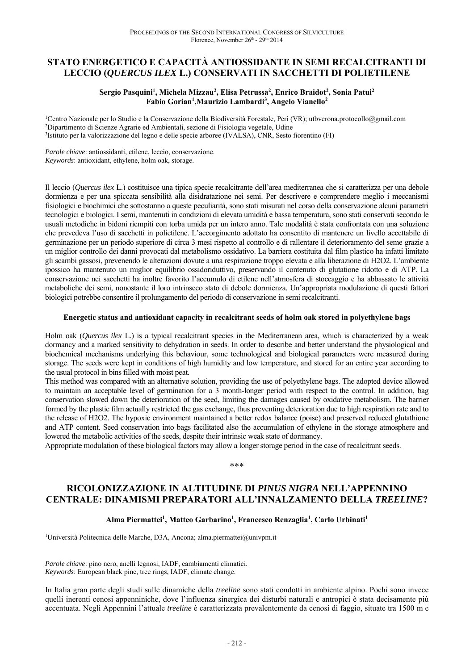# **STATO ENERGETICO E CAPACITÀ ANTIOSSIDANTE IN SEMI RECALCITRANTI DI LECCIO (***QUERCUS ILEX* **L.) CONSERVATI IN SACCHETTI DI POLIETILENE**

### Sergio Pasquini<sup>1</sup>, Michela Mizzau<sup>2</sup>, Elisa Petrussa<sup>2</sup>, Enrico Braidot<sup>2</sup>, Sonia Patui<sup>2</sup> **Fabio Gorian1 ,Maurizio Lambardi3 , Angelo Vianello2**

<sup>1</sup>Centro Nazionale per lo Studio e la Conservazione della Biodiversità Forestale, Peri (VR); utbverona.protocollo@gmail.com<br><sup>2</sup>Dipartimento di Scienze Agrarie ed Ambientali, sezione di Fisiologia vegetale, Udine<br><sup>3</sup>Istitu

*Parole chiave*: antiossidanti, etilene, leccio, conservazione. *Keywords*: antioxidant, ethylene, holm oak, storage.

Il leccio (*Quercus ilex* L.) costituisce una tipica specie recalcitrante dell'area mediterranea che si caratterizza per una debole dormienza e per una spiccata sensibilità alla disidratazione nei semi. Per descrivere e comprendere meglio i meccanismi fisiologici e biochimici che sottostanno a queste peculiarità, sono stati misurati nel corso della conservazione alcuni parametri tecnologici e biologici. I semi, mantenuti in condizioni di elevata umidità e bassa temperatura, sono stati conservati secondo le usuali metodiche in bidoni riempiti con torba umida per un intero anno. Tale modalità è stata confrontata con una soluzione che prevedeva l'uso di sacchetti in polietilene. L'accorgimento adottato ha consentito di mantenere un livello accettabile di germinazione per un periodo superiore di circa 3 mesi rispetto al controllo e di rallentare il deterioramento del seme grazie a un miglior controllo dei danni provocati dal metabolismo ossidativo. La barriera costituita dal film plastico ha infatti limitato gli scambi gassosi, prevenendo le alterazioni dovute a una respirazione troppo elevata e alla liberazione di H2O2. L'ambiente ipossico ha mantenuto un miglior equilibrio ossidoriduttivo, preservando il contenuto di glutatione ridotto e di ATP. La conservazione nei sacchetti ha inoltre favorito l'accumulo di etilene nell'atmosfera di stoccaggio e ha abbassato le attività metaboliche dei semi, nonostante il loro intrinseco stato di debole dormienza. Un'appropriata modulazione di questi fattori biologici potrebbe consentire il prolungamento del periodo di conservazione in semi recalcitranti.

### **Energetic status and antioxidant capacity in recalcitrant seeds of holm oak stored in polyethylene bags**

Holm oak (*Quercus ilex* L.) is a typical recalcitrant species in the Mediterranean area, which is characterized by a weak dormancy and a marked sensitivity to dehydration in seeds. In order to describe and better understand the physiological and biochemical mechanisms underlying this behaviour, some technological and biological parameters were measured during storage. The seeds were kept in conditions of high humidity and low temperature, and stored for an entire year according to the usual protocol in bins filled with moist peat.

This method was compared with an alternative solution, providing the use of polyethylene bags. The adopted device allowed to maintain an acceptable level of germination for a 3 month-longer period with respect to the control. In addition, bag conservation slowed down the deterioration of the seed, limiting the damages caused by oxidative metabolism. The barrier formed by the plastic film actually restricted the gas exchange, thus preventing deterioration due to high respiration rate and to the release of H2O2. The hypoxic environment maintained a better redox balance (poise) and preserved reduced glutathione and ATP content. Seed conservation into bags facilitated also the accumulation of ethylene in the storage atmosphere and lowered the metabolic activities of the seeds, despite their intrinsic weak state of dormancy.

Appropriate modulation of these biological factors may allow a longer storage period in the case of recalcitrant seeds.

\*\*\*

### **RICOLONIZZAZIONE IN ALTITUDINE DI** *PINUS NIGRA* **NELL'APPENNINO CENTRALE: DINAMISMI PREPARATORI ALL'INNALZAMENTO DELLA** *TREELINE***?**

### Alma Piermattei<sup>1</sup>, Matteo Garbarino<sup>1</sup>, Francesco Renzaglia<sup>1</sup>, Carlo Urbinati<sup>1</sup>

1Università Politecnica delle Marche, D3A, Ancona; alma.piermattei@univpm.it

*Parole chiave*: pino nero, anelli legnosi, IADF, cambiamenti climatici. *Keywords*: European black pine, tree rings, IADF, climate change.

In Italia gran parte degli studi sulle dinamiche della *treeline* sono stati condotti in ambiente alpino. Pochi sono invece quelli inerenti cenosi appenniniche, dove l'influenza sinergica dei disturbi naturali e antropici è stata decisamente più accentuata. Negli Appennini l'attuale *treeline* è caratterizzata prevalentemente da cenosi di faggio, situate tra 1500 m e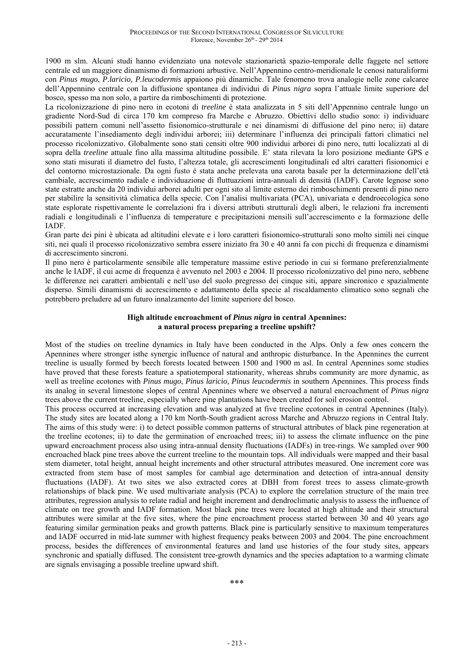1900 m slm. Alcuni studi hanno evidenziato una notevole stazionarietà spazio-temporale delle faggete nel settore centrale ed un maggiore dinamismo di formazioni arbustive. Nell'Appennino centro-meridionale le cenosi naturaliformi con *Pinus mugo*, *P.laricio, P.leucodermis* appaiono più dinamiche. Tale fenomeno trova analogie nelle zone calcaree dell'Appennino centrale con la diffusione spontanea di individui di *Pinus nigra* sopra l'attuale limite superiore del bosco, spesso ma non solo, a partire da rimboschimenti di protezione.

La ricolonizzazione di pino nero in ecotoni di *treeline* è stata analizzata in 5 siti dell'Appennino centrale lungo un gradiente Nord-Sud di circa 170 km compreso fra Marche e Abruzzo. Obiettivi dello studio sono: i) individuare possibili pattern comuni nell'assetto fisionomico-strutturale e nei dinamismi di diffusione del pino nero; ii) datare accuratamente l'insediamento degli individui arborei; iii) determinare l'influenza dei principali fattori climatici nel processo ricolonizzativo. Globalmente sono stati censiti oltre 900 individui arborei di pino nero, tutti localizzati al di sopra della *treeline* attuale fino alla massima altitudine possibile. E' stata rilevata la loro posizione mediante GPS e sono stati misurati il diametro del fusto, l'altezza totale, gli accrescimenti longitudinali ed altri caratteri fisionomici e del contorno microstazionale. Da ogni fusto è stata anche prelevata una carota basale per la determinazione dell'età cambiale, accrescimento radiale e individuazione di fluttuazioni intra-annuali di densità (IADF). Carote legnose sono state estratte anche da 20 individui arborei adulti per ogni sito al limite esterno dei rimboschimenti presenti di pino nero per stabilire la sensitività climatica della specie. Con l'analisi multivariata (PCA), univariata e dendroecologica sono state esplorate rispettivamente le correlazioni fra i diversi attributi strutturali degli alberi, le relazioni fra incrementi radiali e longitudinali e l'influenza di temperature e precipitazioni mensili sull'accrescimento e la formazione delle IADF.

Gran parte dei pini è ubicata ad altitudini elevate e i loro caratteri fisionomico-strutturali sono molto simili nei cinque siti, nei quali il processo ricolonizzativo sembra essere iniziato fra 30 e 40 anni fa con picchi di frequenza e dinamismi di accrescimento sincroni.

Il pino nero è particolarmente sensibile alle temperature massime estive periodo in cui si formano preferenzialmente anche le IADF, il cui acme di frequenza è avvenuto nel 2003 e 2004. Il processo ricolonizzativo del pino nero, sebbene le differenze nei caratteri ambientali e nell'uso del suolo pregresso dei cinque siti, appare sincronico e spazialmente disperso. Simili dinamismi di accrescimento e adattamento della specie al riscaldamento climatico sono segnali che potrebbero preludere ad un futuro innalzamento del limite superiore del bosco.

### **High altitude encroachment of** *Pinus nigra* **in central Apennines: a natural process preparing a treeline upshift?**

Most of the studies on treeline dynamics in Italy have been conducted in the Alps. Only a few ones concern the Apennines where stronger isthe synergic influence of natural and anthropic disturbance. In the Apennines the current treeline is usually formed by beech forests located between 1500 and 1900 m asl. In central Apennines some studies have proved that these forests feature a spatiotemporal stationarity, whereas shrubs community are more dynamic, as well as treeline ecotones with *Pinus mugo*, *Pinus laricio, Pinus leucodermis* in southern Apennines. This process finds its analog in several limestone slopes of central Apennines where we observed a natural encroachment of *Pinus nigra* trees above the current treeline, especially where pine plantations have been created for soil erosion control.

This process occurred at increasing elevation and was analyzed at five treeline ecotones in central Apennines (Italy). The study sites are located along a 170 km North-South gradient across Marche and Abruzzo regions in Central Italy. The aims of this study were: i) to detect possible common patterns of structural attributes of black pine regeneration at the treeline ecotones; ii) to date the germination of encroached trees; iii) to assess the climate influence on the pine upward encroachment process also using intra-annual density fluctuations (IADFs) in tree-rings. We sampled over 900 encroached black pine trees above the current treeline to the mountain tops. All individuals were mapped and their basal stem diameter, total height, annual height increments and other structural attributes measured. One increment core was extracted from stem base of most samples for cambial age determination and detection of intra-annual density fluctuations (IADF). At two sites we also extracted cores at DBH from forest trees to assess climate-growth relationships of black pine. We used multivariate analysis (PCA) to explore the correlation structure of the main tree attributes, regression analysis to relate radial and height increment and dendroclimatic analysis to assess the influence of climate on tree growth and IADF formation. Most black pine trees were located at high altitude and their structural attributes were similar at the five sites, where the pine encroachment process started between 30 and 40 years ago featuring similar germination peaks and growth patterns. Black pine is particularly sensitive to maximum temperatures and IADF occurred in mid-late summer with highest frequency peaks between 2003 and 2004. The pine encroachment process, besides the differences of environmental features and land use histories of the four study sites, appears synchronic and spatially diffused. The consistent tree-growth dynamics and the species adaptation to a warming climate are signals envisaging a possible treeline upward shift.

\*\*\*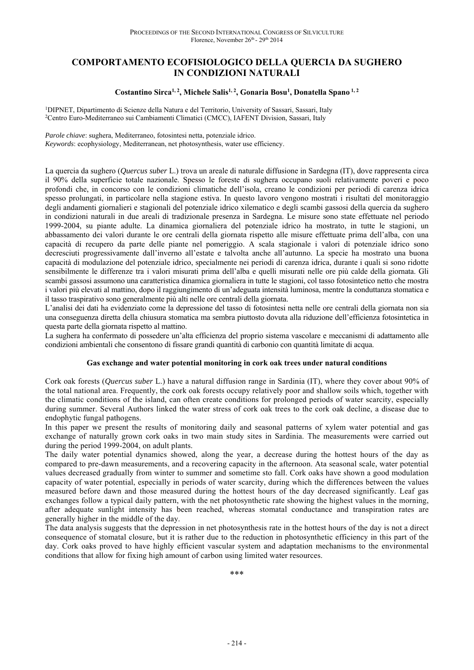# **COMPORTAMENTO ECOFISIOLOGICO DELLA QUERCIA DA SUGHERO IN CONDIZIONI NATURALI**

### Costantino Sirca<sup>1, 2</sup>, Michele Salis<sup>1, 2</sup>, Gonaria Bosu<sup>1</sup>, Donatella Spano<sup>1, 2</sup>

1DIPNET, Dipartimento di Scienze della Natura e del Territorio, University of Sassari, Sassari, Italy 2Centro Euro-Mediterraneo sui Cambiamenti Climatici (CMCC), IAFENT Division, Sassari, Italy

*Parole chiave*: sughera, Mediterraneo, fotosintesi netta, potenziale idrico.

*Keywords*: ecophysiology, Mediterranean, net photosynthesis, water use efficiency.

La quercia da sughero (*Quercus suber* L.) trova un areale di naturale diffusione in Sardegna (IT), dove rappresenta circa il 90% della superficie totale nazionale. Spesso le foreste di sughera occupano suoli relativamente poveri e poco profondi che, in concorso con le condizioni climatiche dell'isola, creano le condizioni per periodi di carenza idrica spesso prolungati, in particolare nella stagione estiva. In questo lavoro vengono mostrati i risultati del monitoraggio degli andamenti giornalieri e stagionali del potenziale idrico xilematico e degli scambi gassosi della quercia da sughero in condizioni naturali in due areali di tradizionale presenza in Sardegna. Le misure sono state effettuate nel periodo 1999-2004, su piante adulte. La dinamica giornaliera del potenziale idrico ha mostrato, in tutte le stagioni, un abbassamento dei valori durante le ore centrali della giornata rispetto alle misure effettuate prima dell'alba, con una capacità di recupero da parte delle piante nel pomeriggio. A scala stagionale i valori di potenziale idrico sono decresciuti progressivamente dall'inverno all'estate e talvolta anche all'autunno. La specie ha mostrato una buona capacità di modulazione del potenziale idrico, specialmente nei periodi di carenza idrica, durante i quali si sono ridotte sensibilmente le differenze tra i valori misurati prima dell'alba e quelli misurati nelle ore più calde della giornata. Gli scambi gassosi assumono una caratteristica dinamica giornaliera in tutte le stagioni, col tasso fotosintetico netto che mostra i valori più elevati al mattino, dopo il raggiungimento di un'adeguata intensità luminosa, mentre la conduttanza stomatica e il tasso traspirativo sono generalmente più alti nelle ore centrali della giornata.

L'analisi dei dati ha evidenziato come la depressione del tasso di fotosintesi netta nelle ore centrali della giornata non sia una conseguenza diretta della chiusura stomatica ma sembra piuttosto dovuta alla riduzione dell'efficienza fotosintetica in questa parte della giornata rispetto al mattino.

La sughera ha confermato di possedere un'alta efficienza del proprio sistema vascolare e meccanismi di adattamento alle condizioni ambientali che consentono di fissare grandi quantità di carbonio con quantità limitate di acqua.

### **Gas exchange and water potential monitoring in cork oak trees under natural conditions**

Cork oak forests (*Quercus suber* L.) have a natural diffusion range in Sardinia (IT), where they cover about 90% of the total national area. Frequently, the cork oak forests occupy relatively poor and shallow soils which, together with the climatic conditions of the island, can often create conditions for prolonged periods of water scarcity, especially during summer. Several Authors linked the water stress of cork oak trees to the cork oak decline, a disease due to endophytic fungal pathogens.

In this paper we present the results of monitoring daily and seasonal patterns of xylem water potential and gas exchange of naturally grown cork oaks in two main study sites in Sardinia. The measurements were carried out during the period 1999-2004, on adult plants.

The daily water potential dynamics showed, along the year, a decrease during the hottest hours of the day as compared to pre-dawn measurements, and a recovering capacity in the afternoon. Ata seasonal scale, water potential values decreased gradually from winter to summer and sometime sto fall. Cork oaks have shown a good modulation capacity of water potential, especially in periods of water scarcity, during which the differences between the values measured before dawn and those measured during the hottest hours of the day decreased significantly. Leaf gas exchanges follow a typical daily pattern, with the net photosynthetic rate showing the highest values in the morning, after adequate sunlight intensity has been reached, whereas stomatal conductance and transpiration rates are generally higher in the middle of the day.

The data analysis suggests that the depression in net photosynthesis rate in the hottest hours of the day is not a direct consequence of stomatal closure, but it is rather due to the reduction in photosynthetic efficiency in this part of the day. Cork oaks proved to have highly efficient vascular system and adaptation mechanisms to the environmental conditions that allow for fixing high amount of carbon using limited water resources.

\*\*\*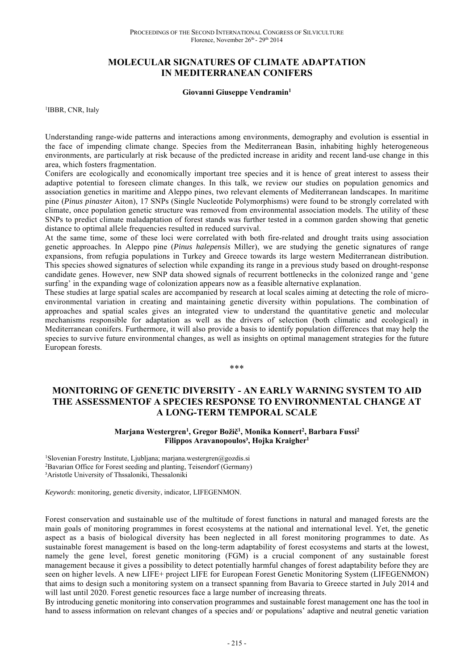### **MOLECULAR SIGNATURES OF CLIMATE ADAPTATION IN MEDITERRANEAN CONIFERS**

#### **Giovanni Giuseppe Vendramin1**

<sup>1</sup>IBBR, CNR, Italy

Understanding range-wide patterns and interactions among environments, demography and evolution is essential in the face of impending climate change. Species from the Mediterranean Basin, inhabiting highly heterogeneous environments, are particularly at risk because of the predicted increase in aridity and recent land-use change in this area, which fosters fragmentation.

Conifers are ecologically and economically important tree species and it is hence of great interest to assess their adaptive potential to foreseen climate changes. In this talk, we review our studies on population genomics and association genetics in maritime and Aleppo pines, two relevant elements of Mediterranean landscapes. In maritime pine (*Pinus pinaster* Aiton), 17 SNPs (Single Nucleotide Polymorphisms) were found to be strongly correlated with climate, once population genetic structure was removed from environmental association models. The utility of these SNPs to predict climate maladaptation of forest stands was further tested in a common garden showing that genetic distance to optimal allele frequencies resulted in reduced survival.

At the same time, some of these loci were correlated with both fire-related and drought traits using association genetic approaches. In Aleppo pine (*Pinus halepensis* Miller), we are studying the genetic signatures of range expansions, from refugia populations in Turkey and Greece towards its large western Mediterranean distribution. This species showed signatures of selection while expanding its range in a previous study based on drought-response candidate genes. However, new SNP data showed signals of recurrent bottlenecks in the colonized range and 'gene surfing' in the expanding wage of colonization appears now as a feasible alternative explanation.

These studies at large spatial scales are accompanied by research at local scales aiming at detecting the role of microenvironmental variation in creating and maintaining genetic diversity within populations. The combination of approaches and spatial scales gives an integrated view to understand the quantitative genetic and molecular mechanisms responsible for adaptation as well as the drivers of selection (both climatic and ecological) in Mediterranean conifers. Furthermore, it will also provide a basis to identify population differences that may help the species to survive future environmental changes, as well as insights on optimal management strategies for the future European forests.

\*\*\*

# **MONITORING OF GENETIC DIVERSITY - AN EARLY WARNING SYSTEM TO AID THE ASSESSMENTOF A SPECIES RESPONSE TO ENVIRONMENTAL CHANGE AT A LONG-TERM TEMPORAL SCALE**

### Marjana Westergren<sup>1</sup>, Gregor Božič<sup>1</sup>, Monika Konnert<sup>2</sup>, Barbara Fussi<sup>2</sup> **Filippos Aravanopoulos³, Hojka Kraigher1**

<sup>1</sup>Slovenian Forestry Institute, Ljubljana; marjana.westergren@gozdis.si <sup>2</sup>Bavarian Office for Forest seeding and planting, Teisendorf (Germany) ³Aristotle University of Thssaloniki, Thessaloniki

*Keywords*: monitoring, genetic diversity, indicator, LIFEGENMON.

Forest conservation and sustainable use of the multitude of forest functions in natural and managed forests are the main goals of monitoring programmes in forest ecosystems at the national and international level. Yet, the genetic aspect as a basis of biological diversity has been neglected in all forest monitoring programmes to date. As sustainable forest management is based on the long-term adaptability of forest ecosystems and starts at the lowest, namely the gene level, forest genetic monitoring (FGM) is a crucial component of any sustainable forest management because it gives a possibility to detect potentially harmful changes of forest adaptability before they are seen on higher levels. A new LIFE+ project LIFE for European Forest Genetic Monitoring System (LIFEGENMON) that aims to design such a monitoring system on a transect spanning from Bavaria to Greece started in July 2014 and will last until 2020. Forest genetic resources face a large number of increasing threats.

By introducing genetic monitoring into conservation programmes and sustainable forest management one has the tool in hand to assess information on relevant changes of a species and/ or populations' adaptive and neutral genetic variation